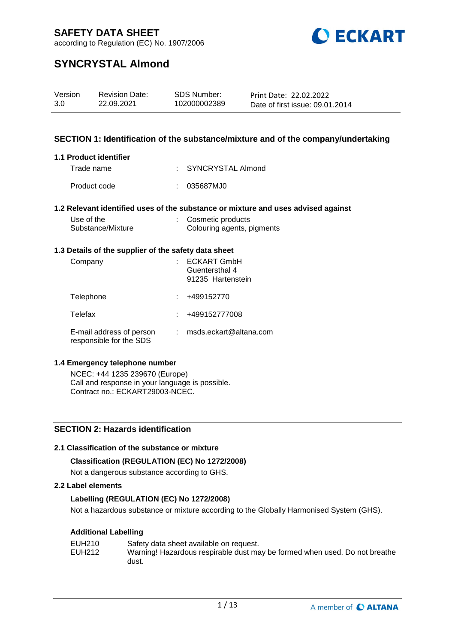

according to Regulation (EC) No. 1907/2006

# **SYNCRYSTAL Almond**

| Version | <b>Revision Date:</b> | SDS Number:  | Print Date: 22.02.2022          |
|---------|-----------------------|--------------|---------------------------------|
| 3.0     | 22.09.2021            | 102000002389 | Date of first issue: 09.01.2014 |

#### **SECTION 1: Identification of the substance/mixture and of the company/undertaking**

#### **1.1 Product identifier**

| Trade name   | : SYNCRYSTAL Almond |
|--------------|---------------------|
| Product code | : 035687MJ0         |

#### **1.2 Relevant identified uses of the substance or mixture and uses advised against**

| Use of the        | : Cosmetic products        |
|-------------------|----------------------------|
| Substance/Mixture | Colouring agents, pigments |

#### **1.3 Details of the supplier of the safety data sheet**

| Company                                             | <b>ECKART GmbH</b><br>Guentersthal 4<br>91235 Hartenstein |
|-----------------------------------------------------|-----------------------------------------------------------|
| Telephone                                           | +499152770                                                |
| Telefax                                             | +499152777008                                             |
| E-mail address of person<br>responsible for the SDS | msds.eckart@altana.com                                    |

#### **1.4 Emergency telephone number**

NCEC: +44 1235 239670 (Europe) Call and response in your language is possible. Contract no.: ECKART29003-NCEC.

#### **SECTION 2: Hazards identification**

#### **2.1 Classification of the substance or mixture**

#### **Classification (REGULATION (EC) No 1272/2008)**

Not a dangerous substance according to GHS.

#### **2.2 Label elements**

#### **Labelling (REGULATION (EC) No 1272/2008)**

Not a hazardous substance or mixture according to the Globally Harmonised System (GHS).

#### **Additional Labelling**

| EUH210 | Safety data sheet available on request.                                    |
|--------|----------------------------------------------------------------------------|
| EUH212 | Warning! Hazardous respirable dust may be formed when used. Do not breathe |
|        | dust.                                                                      |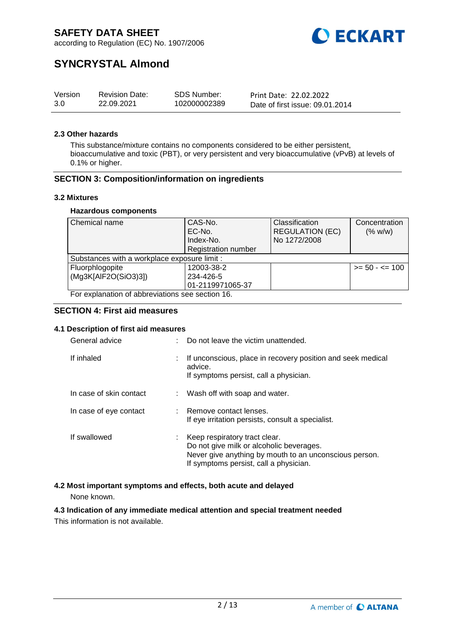

according to Regulation (EC) No. 1907/2006

# **SYNCRYSTAL Almond**

| Version | <b>Revision Date:</b> | <b>SDS Number:</b> | Print Date: 22.02.2022          |
|---------|-----------------------|--------------------|---------------------------------|
| 3.0     | 22.09.2021            | 102000002389       | Date of first issue: 09.01.2014 |

#### **2.3 Other hazards**

This substance/mixture contains no components considered to be either persistent, bioaccumulative and toxic (PBT), or very persistent and very bioaccumulative (vPvB) at levels of 0.1% or higher.

#### **SECTION 3: Composition/information on ingredients**

#### **3.2 Mixtures**

#### **Hazardous components**

| Chemical name                                    | CAS-No.                    | Classification         | Concentration     |  |  |
|--------------------------------------------------|----------------------------|------------------------|-------------------|--|--|
|                                                  | EC-No.                     | <b>REGULATION (EC)</b> | (% w/w)           |  |  |
|                                                  | Index-No.                  | No 1272/2008           |                   |  |  |
|                                                  | <b>Registration number</b> |                        |                   |  |  |
| Substances with a workplace exposure limit :     |                            |                        |                   |  |  |
| Fluorphlogopite                                  | 12003-38-2                 |                        | $>= 50 - 5 = 100$ |  |  |
| (Mg3K[AlF2O(SiO3)3])                             | 234-426-5                  |                        |                   |  |  |
|                                                  | 01-2119971065-37           |                        |                   |  |  |
| For explanation of abbreviations see section 16. |                            |                        |                   |  |  |

#### **SECTION 4: First aid measures**

#### **4.1 Description of first aid measures**

| General advice          |    | Do not leave the victim unattended.                                                                                                                                           |
|-------------------------|----|-------------------------------------------------------------------------------------------------------------------------------------------------------------------------------|
| If inhaled              |    | If unconscious, place in recovery position and seek medical<br>advice.<br>If symptoms persist, call a physician.                                                              |
| In case of skin contact |    | Wash off with soap and water.                                                                                                                                                 |
| In case of eye contact  |    | Remove contact lenses.<br>If eye irritation persists, consult a specialist.                                                                                                   |
| If swallowed            | t. | Keep respiratory tract clear.<br>Do not give milk or alcoholic beverages.<br>Never give anything by mouth to an unconscious person.<br>If symptoms persist, call a physician. |

#### **4.2 Most important symptoms and effects, both acute and delayed**

None known.

### **4.3 Indication of any immediate medical attention and special treatment needed**

This information is not available.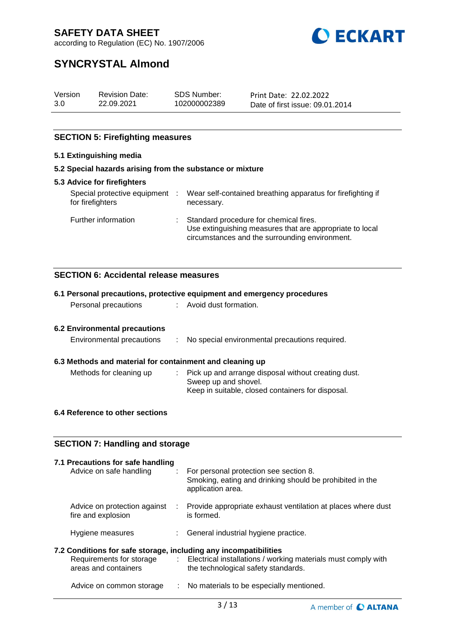

according to Regulation (EC) No. 1907/2006

# **SYNCRYSTAL Almond**

| Version | <b>Revision Date:</b> | SDS Number:  | Print Date: 22.02.2022          |
|---------|-----------------------|--------------|---------------------------------|
| 3.0     | 22.09.2021            | 102000002389 | Date of first issue: 09.01.2014 |

### **SECTION 5: Firefighting measures**

#### **5.1 Extinguishing media**

#### **5.2 Special hazards arising from the substance or mixture**

| 5.3 Advice for firefighters                      |                                                                                                                                                        |
|--------------------------------------------------|--------------------------------------------------------------------------------------------------------------------------------------------------------|
| Special protective equipment<br>for firefighters | Wear self-contained breathing apparatus for firefighting if<br>necessary.                                                                              |
| Further information                              | : Standard procedure for chemical fires.<br>Use extinguishing measures that are appropriate to local<br>circumstances and the surrounding environment. |

#### **SECTION 6: Accidental release measures**

|                                                                                                                      |                           | 6.1 Personal precautions, protective equipment and emergency procedures                                                          |
|----------------------------------------------------------------------------------------------------------------------|---------------------------|----------------------------------------------------------------------------------------------------------------------------------|
| Personal precautions                                                                                                 |                           | : Avoid dust formation.                                                                                                          |
| <b>6.2 Environmental precautions</b>                                                                                 |                           |                                                                                                                                  |
| Environmental precautions                                                                                            | ÷                         | No special environmental precautions required.                                                                                   |
| 6.3 Methods and material for containment and cleaning up                                                             |                           |                                                                                                                                  |
| Methods for cleaning up                                                                                              |                           | Pick up and arrange disposal without creating dust.<br>Sweep up and shovel.<br>Keep in suitable, closed containers for disposal. |
| 6.4 Reference to other sections                                                                                      |                           |                                                                                                                                  |
| <b>SECTION 7: Handling and storage</b>                                                                               |                           |                                                                                                                                  |
| 7.1 Precautions for safe handling                                                                                    |                           |                                                                                                                                  |
| Advice on safe handling                                                                                              | di la                     | For personal protection see section 8.<br>Smoking, eating and drinking should be prohibited in the<br>application area.          |
| fire and explosion                                                                                                   |                           | Advice on protection against : Provide appropriate exhaust ventilation at places where dust<br>is formed.                        |
| Hygiene measures                                                                                                     |                           | General industrial hygiene practice.                                                                                             |
| 7.2 Conditions for safe storage, including any incompatibilities<br>Requirements for storage<br>areas and containers | $\mathbb{R}^{\mathbb{Z}}$ | Electrical installations / working materials must comply with<br>the technological safety standards.                             |
| Advice on common storage                                                                                             |                           | : No materials to be especially mentioned.                                                                                       |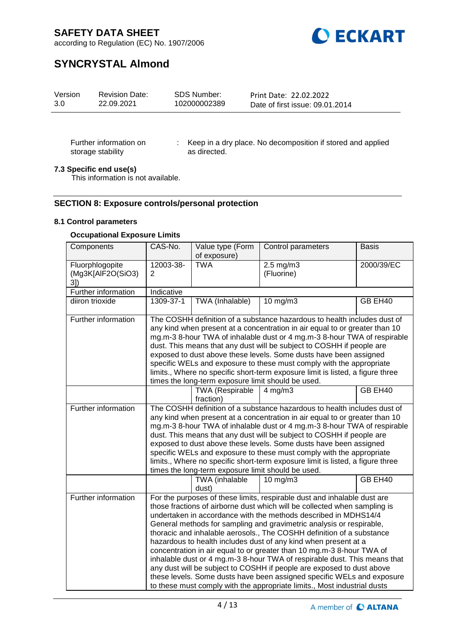

according to Regulation (EC) No. 1907/2006

# **SYNCRYSTAL Almond**

| 3.0<br>22.09.2021<br>102000002389<br>Date of first issue: 09.01.2014 | Version | <b>Revision Date:</b> | SDS Number: | Print Date: 22.02.2022 |  |
|----------------------------------------------------------------------|---------|-----------------------|-------------|------------------------|--|
|----------------------------------------------------------------------|---------|-----------------------|-------------|------------------------|--|

Further information on storage stability

: Keep in a dry place. No decomposition if stored and applied as directed.

#### **7.3 Specific end use(s)**

This information is not available.

#### **SECTION 8: Exposure controls/personal protection**

#### **8.1 Control parameters**

#### **Occupational Exposure Limits**

| Components                                 | CAS-No.                                                                                                                                                                                                                                                                                                                                                                                                                                                                                                                                                                                           | Value type (Form<br>of exposure) | Control parameters                                                                                                                                                                                                                                                                                                                                                                                                                                                                                                                                                                                                                                                                                                                                                                                                                | <b>Basis</b> |  |  |
|--------------------------------------------|---------------------------------------------------------------------------------------------------------------------------------------------------------------------------------------------------------------------------------------------------------------------------------------------------------------------------------------------------------------------------------------------------------------------------------------------------------------------------------------------------------------------------------------------------------------------------------------------------|----------------------------------|-----------------------------------------------------------------------------------------------------------------------------------------------------------------------------------------------------------------------------------------------------------------------------------------------------------------------------------------------------------------------------------------------------------------------------------------------------------------------------------------------------------------------------------------------------------------------------------------------------------------------------------------------------------------------------------------------------------------------------------------------------------------------------------------------------------------------------------|--------------|--|--|
| Fluorphlogopite<br>(Mg3K[AlF2O(SiO3)<br>3] | 12003-38-<br>2                                                                                                                                                                                                                                                                                                                                                                                                                                                                                                                                                                                    | <b>TWA</b>                       | $2.5 \text{ mg/m}$ 3<br>(Fluorine)                                                                                                                                                                                                                                                                                                                                                                                                                                                                                                                                                                                                                                                                                                                                                                                                | 2000/39/EC   |  |  |
| Further information                        | Indicative                                                                                                                                                                                                                                                                                                                                                                                                                                                                                                                                                                                        |                                  |                                                                                                                                                                                                                                                                                                                                                                                                                                                                                                                                                                                                                                                                                                                                                                                                                                   |              |  |  |
| diiron trioxide                            | 1309-37-1                                                                                                                                                                                                                                                                                                                                                                                                                                                                                                                                                                                         | TWA (Inhalable)                  | $10$ mg/m $3$                                                                                                                                                                                                                                                                                                                                                                                                                                                                                                                                                                                                                                                                                                                                                                                                                     | GB EH40      |  |  |
| Further information                        | The COSHH definition of a substance hazardous to health includes dust of<br>any kind when present at a concentration in air equal to or greater than 10<br>mg.m-3 8-hour TWA of inhalable dust or 4 mg.m-3 8-hour TWA of respirable<br>dust. This means that any dust will be subject to COSHH if people are<br>exposed to dust above these levels. Some dusts have been assigned<br>specific WELs and exposure to these must comply with the appropriate<br>limits., Where no specific short-term exposure limit is listed, a figure three<br>times the long-term exposure limit should be used. |                                  |                                                                                                                                                                                                                                                                                                                                                                                                                                                                                                                                                                                                                                                                                                                                                                                                                                   |              |  |  |
|                                            |                                                                                                                                                                                                                                                                                                                                                                                                                                                                                                                                                                                                   | TWA (Respirable<br>fraction)     | $4$ mg/m $3$                                                                                                                                                                                                                                                                                                                                                                                                                                                                                                                                                                                                                                                                                                                                                                                                                      | GB EH40      |  |  |
| Further information                        | The COSHH definition of a substance hazardous to health includes dust of<br>any kind when present at a concentration in air equal to or greater than 10<br>mg.m-3 8-hour TWA of inhalable dust or 4 mg.m-3 8-hour TWA of respirable<br>dust. This means that any dust will be subject to COSHH if people are<br>exposed to dust above these levels. Some dusts have been assigned<br>specific WELs and exposure to these must comply with the appropriate<br>limits., Where no specific short-term exposure limit is listed, a figure three<br>times the long-term exposure limit should be used. |                                  |                                                                                                                                                                                                                                                                                                                                                                                                                                                                                                                                                                                                                                                                                                                                                                                                                                   |              |  |  |
|                                            |                                                                                                                                                                                                                                                                                                                                                                                                                                                                                                                                                                                                   | TWA (inhalable<br>dust)          | $10 \text{ mg/m}$                                                                                                                                                                                                                                                                                                                                                                                                                                                                                                                                                                                                                                                                                                                                                                                                                 | GB EH40      |  |  |
| Further information                        |                                                                                                                                                                                                                                                                                                                                                                                                                                                                                                                                                                                                   |                                  | For the purposes of these limits, respirable dust and inhalable dust are<br>those fractions of airborne dust which will be collected when sampling is<br>undertaken in accordance with the methods described in MDHS14/4<br>General methods for sampling and gravimetric analysis or respirable,<br>thoracic and inhalable aerosols., The COSHH definition of a substance<br>hazardous to health includes dust of any kind when present at a<br>concentration in air equal to or greater than 10 mg.m-3 8-hour TWA of<br>inhalable dust or 4 mg.m-3 8-hour TWA of respirable dust. This means that<br>any dust will be subject to COSHH if people are exposed to dust above<br>these levels. Some dusts have been assigned specific WELs and exposure<br>to these must comply with the appropriate limits., Most industrial dusts |              |  |  |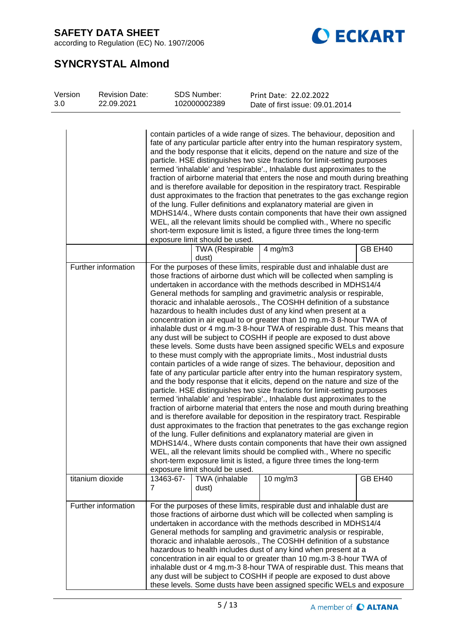according to Regulation (EC) No. 1907/2006



# **SYNCRYSTAL Almond**

| Version<br>3.0                                                                                                                                                                                                                                                                                                                                                                                                                                                                                                                                                                                                                                                                                                                                                                                                                                                                                                                                                                                     |  | <b>Revision Date:</b><br>22.09.2021 |                | <b>SDS Number:</b><br>102000002389 |  | Print Date: 22.02.2022<br>Date of first issue: 09.01.2014                                                                                                                                                                                                                                                                                                                                                                                                                                                                                                                                                                                                                                                                                                                                                                                                                                                                                                                                                                                                                                                                                                                                                                                                                                                                                                                                                                                                                                                                                                                                                                                                                                                                                                                                             |         |
|----------------------------------------------------------------------------------------------------------------------------------------------------------------------------------------------------------------------------------------------------------------------------------------------------------------------------------------------------------------------------------------------------------------------------------------------------------------------------------------------------------------------------------------------------------------------------------------------------------------------------------------------------------------------------------------------------------------------------------------------------------------------------------------------------------------------------------------------------------------------------------------------------------------------------------------------------------------------------------------------------|--|-------------------------------------|----------------|------------------------------------|--|-------------------------------------------------------------------------------------------------------------------------------------------------------------------------------------------------------------------------------------------------------------------------------------------------------------------------------------------------------------------------------------------------------------------------------------------------------------------------------------------------------------------------------------------------------------------------------------------------------------------------------------------------------------------------------------------------------------------------------------------------------------------------------------------------------------------------------------------------------------------------------------------------------------------------------------------------------------------------------------------------------------------------------------------------------------------------------------------------------------------------------------------------------------------------------------------------------------------------------------------------------------------------------------------------------------------------------------------------------------------------------------------------------------------------------------------------------------------------------------------------------------------------------------------------------------------------------------------------------------------------------------------------------------------------------------------------------------------------------------------------------------------------------------------------------|---------|
| contain particles of a wide range of sizes. The behaviour, deposition and<br>fate of any particular particle after entry into the human respiratory system,<br>and the body response that it elicits, depend on the nature and size of the<br>particle. HSE distinguishes two size fractions for limit-setting purposes<br>termed 'inhalable' and 'respirable'., Inhalable dust approximates to the<br>fraction of airborne material that enters the nose and mouth during breathing<br>and is therefore available for deposition in the respiratory tract. Respirable<br>dust approximates to the fraction that penetrates to the gas exchange region<br>of the lung. Fuller definitions and explanatory material are given in<br>MDHS14/4., Where dusts contain components that have their own assigned<br>WEL, all the relevant limits should be complied with., Where no specific<br>short-term exposure limit is listed, a figure three times the long-term<br>exposure limit should be used. |  |                                     |                |                                    |  |                                                                                                                                                                                                                                                                                                                                                                                                                                                                                                                                                                                                                                                                                                                                                                                                                                                                                                                                                                                                                                                                                                                                                                                                                                                                                                                                                                                                                                                                                                                                                                                                                                                                                                                                                                                                       |         |
|                                                                                                                                                                                                                                                                                                                                                                                                                                                                                                                                                                                                                                                                                                                                                                                                                                                                                                                                                                                                    |  |                                     |                | <b>TWA (Respirable</b><br>dust)    |  | $4$ mg/m $3$                                                                                                                                                                                                                                                                                                                                                                                                                                                                                                                                                                                                                                                                                                                                                                                                                                                                                                                                                                                                                                                                                                                                                                                                                                                                                                                                                                                                                                                                                                                                                                                                                                                                                                                                                                                          | GB EH40 |
|                                                                                                                                                                                                                                                                                                                                                                                                                                                                                                                                                                                                                                                                                                                                                                                                                                                                                                                                                                                                    |  | Further information                 |                | exposure limit should be used.     |  | For the purposes of these limits, respirable dust and inhalable dust are<br>those fractions of airborne dust which will be collected when sampling is<br>undertaken in accordance with the methods described in MDHS14/4<br>General methods for sampling and gravimetric analysis or respirable,<br>thoracic and inhalable aerosols., The COSHH definition of a substance<br>hazardous to health includes dust of any kind when present at a<br>concentration in air equal to or greater than 10 mg.m-3 8-hour TWA of<br>inhalable dust or 4 mg.m-3 8-hour TWA of respirable dust. This means that<br>any dust will be subject to COSHH if people are exposed to dust above<br>these levels. Some dusts have been assigned specific WELs and exposure<br>to these must comply with the appropriate limits., Most industrial dusts<br>contain particles of a wide range of sizes. The behaviour, deposition and<br>fate of any particular particle after entry into the human respiratory system,<br>and the body response that it elicits, depend on the nature and size of the<br>particle. HSE distinguishes two size fractions for limit-setting purposes<br>termed 'inhalable' and 'respirable'., Inhalable dust approximates to the<br>fraction of airborne material that enters the nose and mouth during breathing<br>and is therefore available for deposition in the respiratory tract. Respirable<br>dust approximates to the fraction that penetrates to the gas exchange region<br>of the lung. Fuller definitions and explanatory material are given in<br>MDHS14/4., Where dusts contain components that have their own assigned<br>WEL, all the relevant limits should be complied with., Where no specific<br>short-term exposure limit is listed, a figure three times the long-term |         |
|                                                                                                                                                                                                                                                                                                                                                                                                                                                                                                                                                                                                                                                                                                                                                                                                                                                                                                                                                                                                    |  | titanium dioxide                    | 13463-67-<br>7 | TWA (inhalable<br>dust)            |  | 10 mg/m3                                                                                                                                                                                                                                                                                                                                                                                                                                                                                                                                                                                                                                                                                                                                                                                                                                                                                                                                                                                                                                                                                                                                                                                                                                                                                                                                                                                                                                                                                                                                                                                                                                                                                                                                                                                              | GB EH40 |
|                                                                                                                                                                                                                                                                                                                                                                                                                                                                                                                                                                                                                                                                                                                                                                                                                                                                                                                                                                                                    |  | Further information                 |                |                                    |  | For the purposes of these limits, respirable dust and inhalable dust are<br>those fractions of airborne dust which will be collected when sampling is<br>undertaken in accordance with the methods described in MDHS14/4<br>General methods for sampling and gravimetric analysis or respirable,<br>thoracic and inhalable aerosols., The COSHH definition of a substance<br>hazardous to health includes dust of any kind when present at a<br>concentration in air equal to or greater than 10 mg.m-3 8-hour TWA of<br>inhalable dust or 4 mg.m-3 8-hour TWA of respirable dust. This means that<br>any dust will be subject to COSHH if people are exposed to dust above<br>these levels. Some dusts have been assigned specific WELs and exposure                                                                                                                                                                                                                                                                                                                                                                                                                                                                                                                                                                                                                                                                                                                                                                                                                                                                                                                                                                                                                                                 |         |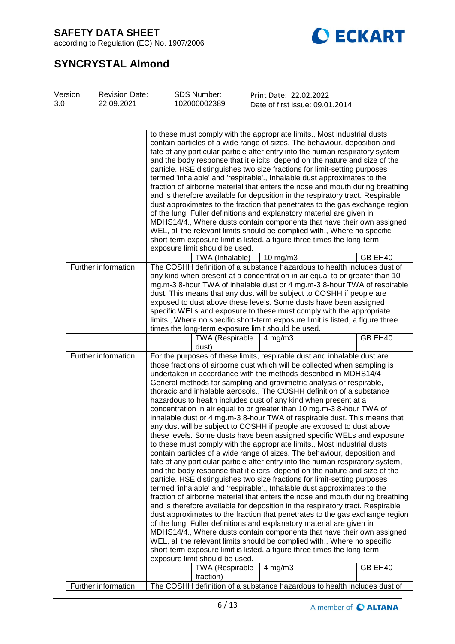according to Regulation (EC) No. 1907/2006



# **SYNCRYSTAL Almond**

| Version<br>3.0 | <b>Revision Date:</b><br>22.09.2021 | <b>SDS Number:</b><br>102000002389                                                                                                                                                                                                                                                                                                                                                                                                                                                                                                                                                                | Print Date: 22.02.2022<br>Date of first issue: 09.01.2014                                                                                                                                                                                                                                                                                                                                                                                                                                                                                                                                                                                                                                                                                                                                                                                                                                                                                                                                                                                                                                                                                                                                                                                                                                                                                                                                                                                                                                                                                                                                                                                                                                                                                                                                             |  |  |
|----------------|-------------------------------------|---------------------------------------------------------------------------------------------------------------------------------------------------------------------------------------------------------------------------------------------------------------------------------------------------------------------------------------------------------------------------------------------------------------------------------------------------------------------------------------------------------------------------------------------------------------------------------------------------|-------------------------------------------------------------------------------------------------------------------------------------------------------------------------------------------------------------------------------------------------------------------------------------------------------------------------------------------------------------------------------------------------------------------------------------------------------------------------------------------------------------------------------------------------------------------------------------------------------------------------------------------------------------------------------------------------------------------------------------------------------------------------------------------------------------------------------------------------------------------------------------------------------------------------------------------------------------------------------------------------------------------------------------------------------------------------------------------------------------------------------------------------------------------------------------------------------------------------------------------------------------------------------------------------------------------------------------------------------------------------------------------------------------------------------------------------------------------------------------------------------------------------------------------------------------------------------------------------------------------------------------------------------------------------------------------------------------------------------------------------------------------------------------------------------|--|--|
|                |                                     | exposure limit should be used.                                                                                                                                                                                                                                                                                                                                                                                                                                                                                                                                                                    | to these must comply with the appropriate limits., Most industrial dusts<br>contain particles of a wide range of sizes. The behaviour, deposition and<br>fate of any particular particle after entry into the human respiratory system,<br>and the body response that it elicits, depend on the nature and size of the<br>particle. HSE distinguishes two size fractions for limit-setting purposes<br>termed 'inhalable' and 'respirable'., Inhalable dust approximates to the<br>fraction of airborne material that enters the nose and mouth during breathing<br>and is therefore available for deposition in the respiratory tract. Respirable<br>dust approximates to the fraction that penetrates to the gas exchange region<br>of the lung. Fuller definitions and explanatory material are given in<br>MDHS14/4., Where dusts contain components that have their own assigned<br>WEL, all the relevant limits should be complied with., Where no specific<br>short-term exposure limit is listed, a figure three times the long-term                                                                                                                                                                                                                                                                                                                                                                                                                                                                                                                                                                                                                                                                                                                                                          |  |  |
|                |                                     | TWA (Inhalable)                                                                                                                                                                                                                                                                                                                                                                                                                                                                                                                                                                                   | 10 mg/m $3$<br>GB EH40                                                                                                                                                                                                                                                                                                                                                                                                                                                                                                                                                                                                                                                                                                                                                                                                                                                                                                                                                                                                                                                                                                                                                                                                                                                                                                                                                                                                                                                                                                                                                                                                                                                                                                                                                                                |  |  |
|                | Further information                 | The COSHH definition of a substance hazardous to health includes dust of<br>any kind when present at a concentration in air equal to or greater than 10<br>mg.m-3 8-hour TWA of inhalable dust or 4 mg.m-3 8-hour TWA of respirable<br>dust. This means that any dust will be subject to COSHH if people are<br>exposed to dust above these levels. Some dusts have been assigned<br>specific WELs and exposure to these must comply with the appropriate<br>limits., Where no specific short-term exposure limit is listed, a figure three<br>times the long-term exposure limit should be used. |                                                                                                                                                                                                                                                                                                                                                                                                                                                                                                                                                                                                                                                                                                                                                                                                                                                                                                                                                                                                                                                                                                                                                                                                                                                                                                                                                                                                                                                                                                                                                                                                                                                                                                                                                                                                       |  |  |
|                |                                     | <b>TWA (Respirable</b><br>dust)                                                                                                                                                                                                                                                                                                                                                                                                                                                                                                                                                                   | GB EH40<br>$4$ mg/m $3$                                                                                                                                                                                                                                                                                                                                                                                                                                                                                                                                                                                                                                                                                                                                                                                                                                                                                                                                                                                                                                                                                                                                                                                                                                                                                                                                                                                                                                                                                                                                                                                                                                                                                                                                                                               |  |  |
|                | Further information                 | exposure limit should be used.                                                                                                                                                                                                                                                                                                                                                                                                                                                                                                                                                                    | For the purposes of these limits, respirable dust and inhalable dust are<br>those fractions of airborne dust which will be collected when sampling is<br>undertaken in accordance with the methods described in MDHS14/4<br>General methods for sampling and gravimetric analysis or respirable,<br>thoracic and inhalable aerosols., The COSHH definition of a substance<br>hazardous to health includes dust of any kind when present at a<br>concentration in air equal to or greater than 10 mg.m-3 8-hour TWA of<br>inhalable dust or 4 mg.m-3 8-hour TWA of respirable dust. This means that<br>any dust will be subject to COSHH if people are exposed to dust above<br>these levels. Some dusts have been assigned specific WELs and exposure<br>to these must comply with the appropriate limits., Most industrial dusts<br>contain particles of a wide range of sizes. The behaviour, deposition and<br>fate of any particular particle after entry into the human respiratory system,<br>and the body response that it elicits, depend on the nature and size of the<br>particle. HSE distinguishes two size fractions for limit-setting purposes<br>termed 'inhalable' and 'respirable'., Inhalable dust approximates to the<br>fraction of airborne material that enters the nose and mouth during breathing<br>and is therefore available for deposition in the respiratory tract. Respirable<br>dust approximates to the fraction that penetrates to the gas exchange region<br>of the lung. Fuller definitions and explanatory material are given in<br>MDHS14/4., Where dusts contain components that have their own assigned<br>WEL, all the relevant limits should be complied with., Where no specific<br>short-term exposure limit is listed, a figure three times the long-term |  |  |
|                |                                     | <b>TWA (Respirable</b><br>fraction)                                                                                                                                                                                                                                                                                                                                                                                                                                                                                                                                                               | GB EH40<br>$4$ mg/m $3$                                                                                                                                                                                                                                                                                                                                                                                                                                                                                                                                                                                                                                                                                                                                                                                                                                                                                                                                                                                                                                                                                                                                                                                                                                                                                                                                                                                                                                                                                                                                                                                                                                                                                                                                                                               |  |  |
|                | Further information                 |                                                                                                                                                                                                                                                                                                                                                                                                                                                                                                                                                                                                   | The COSHH definition of a substance hazardous to health includes dust of                                                                                                                                                                                                                                                                                                                                                                                                                                                                                                                                                                                                                                                                                                                                                                                                                                                                                                                                                                                                                                                                                                                                                                                                                                                                                                                                                                                                                                                                                                                                                                                                                                                                                                                              |  |  |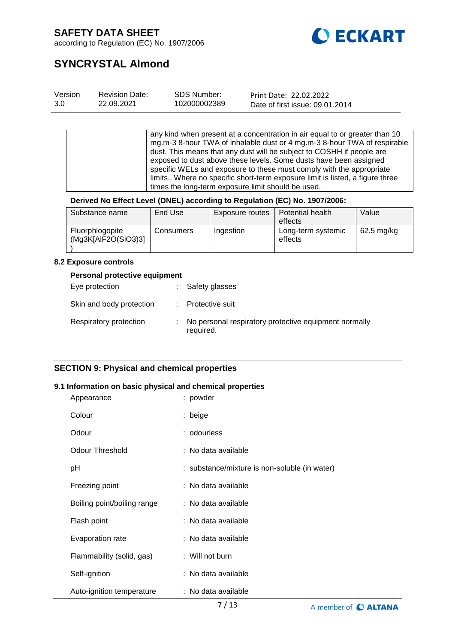

according to Regulation (EC) No. 1907/2006

# **SYNCRYSTAL Almond**

| Version | <b>Revision Date:</b> | SDS Number:  | Print Date: 22.02.2022          |
|---------|-----------------------|--------------|---------------------------------|
| 3.0     | 22.09.2021            | 102000002389 | Date of first issue: 09.01.2014 |

any kind when present at a concentration in air equal to or greater than 10 mg.m-3 8-hour TWA of inhalable dust or 4 mg.m-3 8-hour TWA of respirable dust. This means that any dust will be subject to COSHH if people are exposed to dust above these levels. Some dusts have been assigned specific WELs and exposure to these must comply with the appropriate limits., Where no specific short-term exposure limit is listed, a figure three times the long-term exposure limit should be used.

#### **Derived No Effect Level (DNEL) according to Regulation (EC) No. 1907/2006:**

| Substance name                         | End Use   | Exposure routes | Potential health<br>effects   | Value        |
|----------------------------------------|-----------|-----------------|-------------------------------|--------------|
| Fluorphlogopite<br>(Mg3K[AlF2O(SiO3)3] | Consumers | Ingestion       | Long-term systemic<br>effects | $62.5$ mg/kg |

#### **8.2 Exposure controls**

#### **Personal protective equipment**

| Eye protection           |    | : Safety glasses                                                   |
|--------------------------|----|--------------------------------------------------------------------|
| Skin and body protection |    | : Protective suit                                                  |
| Respiratory protection   | ÷. | No personal respiratory protective equipment normally<br>required. |

#### **SECTION 9: Physical and chemical properties**

#### **9.1 Information on basic physical and chemical properties**

| Appearance                  | : powder                                      |
|-----------------------------|-----------------------------------------------|
| Colour                      | : beige                                       |
| Odour                       | : odourless                                   |
| <b>Odour Threshold</b>      | : No data available                           |
| рH                          | : substance/mixture is non-soluble (in water) |
| Freezing point              | : No data available                           |
| Boiling point/boiling range | : No data available                           |
| Flash point                 | : No data available                           |
| Evaporation rate            | : No data available                           |
| Flammability (solid, gas)   | : Will not burn                               |
| Self-ignition               | : No data available                           |
| Auto-ignition temperature   | : No data available                           |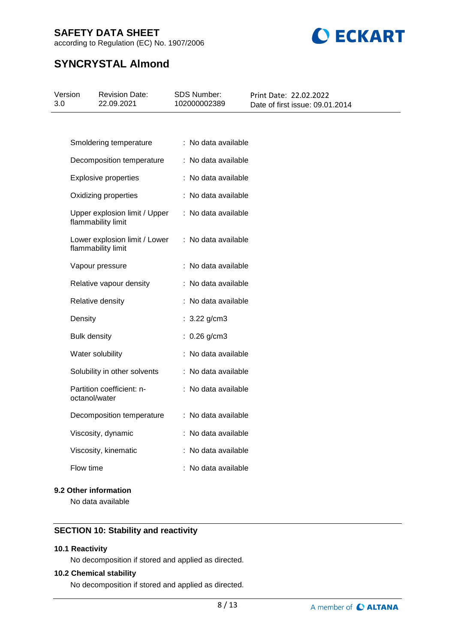according to Regulation (EC) No. 1907/2006



# **SYNCRYSTAL Almond**

| Version<br>3.0 | <b>Revision Date:</b><br>22.09.2021                 | SDS Number:<br>102000002389 | Print Date: 22.02.2022<br>Date of first issue: 09.01.2014 |
|----------------|-----------------------------------------------------|-----------------------------|-----------------------------------------------------------|
|                |                                                     |                             |                                                           |
|                | Smoldering temperature                              | : No data available         |                                                           |
|                | Decomposition temperature                           | : No data available         |                                                           |
|                | <b>Explosive properties</b>                         | : No data available         |                                                           |
|                | Oxidizing properties                                | : No data available         |                                                           |
|                | Upper explosion limit / Upper<br>flammability limit | : No data available         |                                                           |
|                | Lower explosion limit / Lower<br>flammability limit | : No data available         |                                                           |
|                | Vapour pressure                                     | : No data available         |                                                           |
|                | Relative vapour density                             | : No data available         |                                                           |
|                | Relative density                                    | : No data available         |                                                           |
|                | Density                                             | : $3.22$ g/cm3              |                                                           |
|                | <b>Bulk density</b>                                 | $: 0.26$ g/cm3              |                                                           |
|                | Water solubility                                    | : No data available         |                                                           |
|                | Solubility in other solvents                        | : No data available         |                                                           |
|                | Partition coefficient: n-<br>octanol/water          | : No data available         |                                                           |
|                | Decomposition temperature                           | : No data available         |                                                           |
|                | Viscosity, dynamic                                  | : No data available         |                                                           |
|                | Viscosity, kinematic                                | : No data available         |                                                           |
|                | Flow time                                           | : No data available         |                                                           |

#### **9.2 Other information**

No data available

### **SECTION 10: Stability and reactivity**

#### **10.1 Reactivity**

No decomposition if stored and applied as directed.

#### **10.2 Chemical stability**

No decomposition if stored and applied as directed.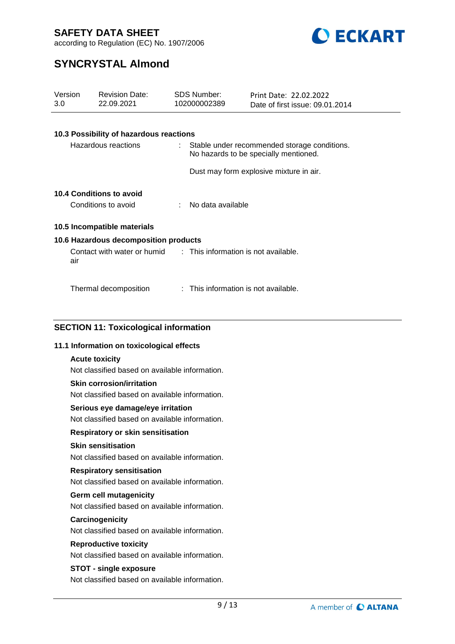

according to Regulation (EC) No. 1907/2006

# **SYNCRYSTAL Almond**

| Version<br>3.0 |                     | <b>Revision Date:</b><br>22.09.2021                              | <b>SDS Number:</b><br>102000002389   | Print Date: 22.02.2022<br>Date of first issue: 09.01.2014                               |  |
|----------------|---------------------|------------------------------------------------------------------|--------------------------------------|-----------------------------------------------------------------------------------------|--|
|                |                     |                                                                  |                                      |                                                                                         |  |
|                |                     | 10.3 Possibility of hazardous reactions                          |                                      |                                                                                         |  |
|                |                     | Hazardous reactions                                              |                                      | : Stable under recommended storage conditions.<br>No hazards to be specially mentioned. |  |
|                |                     |                                                                  |                                      | Dust may form explosive mixture in air.                                                 |  |
|                |                     | 10.4 Conditions to avoid                                         |                                      |                                                                                         |  |
|                | Conditions to avoid |                                                                  | No data available                    |                                                                                         |  |
|                |                     | 10.5 Incompatible materials                                      |                                      |                                                                                         |  |
|                |                     | 10.6 Hazardous decomposition products                            |                                      |                                                                                         |  |
|                | air                 | Contact with water or humid : This information is not available. |                                      |                                                                                         |  |
|                |                     | Thermal decomposition                                            | : This information is not available. |                                                                                         |  |
|                |                     |                                                                  |                                      |                                                                                         |  |

### **SECTION 11: Toxicological information**

#### **11.1 Information on toxicological effects**

#### **Acute toxicity**

Not classified based on available information.

#### **Skin corrosion/irritation**

Not classified based on available information.

#### **Serious eye damage/eye irritation**

Not classified based on available information.

#### **Respiratory or skin sensitisation**

#### **Skin sensitisation**

Not classified based on available information.

#### **Respiratory sensitisation**

Not classified based on available information.

#### **Germ cell mutagenicity**

Not classified based on available information.

#### **Carcinogenicity**

Not classified based on available information.

#### **Reproductive toxicity**

Not classified based on available information.

#### **STOT - single exposure**

Not classified based on available information.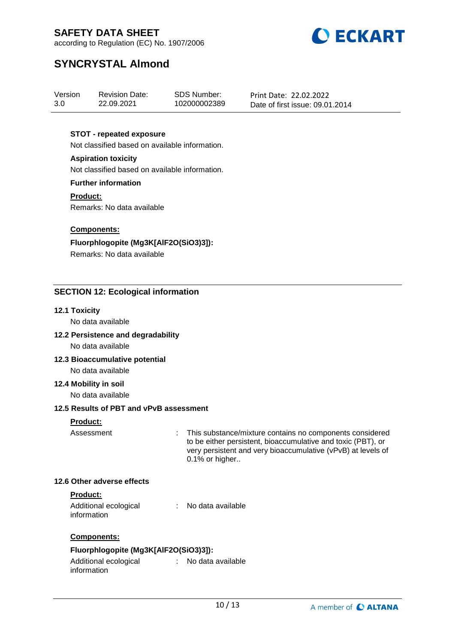

according to Regulation (EC) No. 1907/2006

# **SYNCRYSTAL Almond**

| Version | <b>Revision Date:</b> | SDS Number:  | Print Date: 22.02.2022          |
|---------|-----------------------|--------------|---------------------------------|
| 3.0     | 22.09.2021            | 102000002389 | Date of first issue: 09.01.2014 |

#### **STOT - repeated exposure**

Not classified based on available information.

### **Aspiration toxicity**

Not classified based on available information.

#### **Further information**

**Product:** Remarks: No data available

#### **Components:**

**Fluorphlogopite (Mg3K[AlF2O(SiO3)3]):** Remarks: No data available

#### **SECTION 12: Ecological information**

#### **12.1 Toxicity**

No data available

#### **12.2 Persistence and degradability**

No data available

**12.3 Bioaccumulative potential** No data available

#### **12.4 Mobility in soil**

No data available

#### **12.5 Results of PBT and vPvB assessment**

#### **Product:**

Assessment : This substance/mixture contains no components considered to be either persistent, bioaccumulative and toxic (PBT), or very persistent and very bioaccumulative (vPvB) at levels of 0.1% or higher..

#### **12.6 Other adverse effects**

#### **Product:**

Additional ecological information : No data available

#### **Components:**

### **Fluorphlogopite (Mg3K[AlF2O(SiO3)3]):**

Additional ecological information : No data available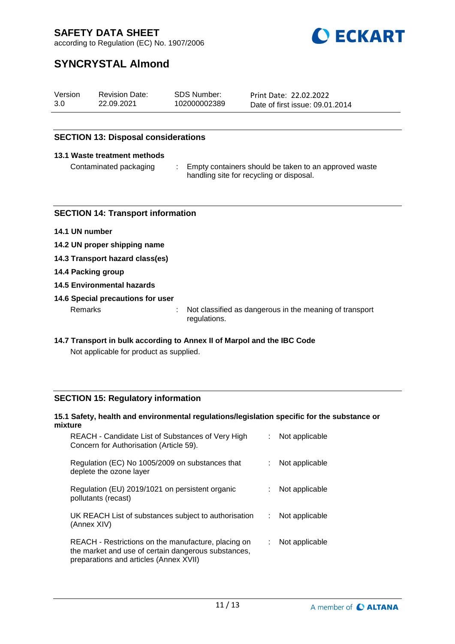

according to Regulation (EC) No. 1907/2006

# **SYNCRYSTAL Almond**

| Version | <b>Revision Date:</b> | SDS Number:  | Print Date: 22.02.2022          |
|---------|-----------------------|--------------|---------------------------------|
| 3.0     | 22.09.2021            | 102000002389 | Date of first issue: 09.01.2014 |

#### **SECTION 13: Disposal considerations**

#### **13.1 Waste treatment methods**

Contaminated packaging : Empty containers should be taken to an approved waste handling site for recycling or disposal.

#### **SECTION 14: Transport information**

- **14.1 UN number**
- **14.2 UN proper shipping name**
- **14.3 Transport hazard class(es)**
- **14.4 Packing group**
- **14.5 Environmental hazards**
- **14.6 Special precautions for user**

Remarks : Not classified as dangerous in the meaning of transport regulations.

**14.7 Transport in bulk according to Annex II of Marpol and the IBC Code**

Not applicable for product as supplied.

#### **SECTION 15: Regulatory information**

### **15.1 Safety, health and environmental regulations/legislation specific for the substance or mixture**

| REACH - Candidate List of Substances of Very High<br>Concern for Authorisation (Article 59).                                                         | Not applicable |
|------------------------------------------------------------------------------------------------------------------------------------------------------|----------------|
| Regulation (EC) No 1005/2009 on substances that<br>deplete the ozone layer                                                                           | Not applicable |
| Regulation (EU) 2019/1021 on persistent organic<br>pollutants (recast)                                                                               | Not applicable |
| UK REACH List of substances subject to authorisation<br>(Annex XIV)                                                                                  | Not applicable |
| REACH - Restrictions on the manufacture, placing on<br>the market and use of certain dangerous substances,<br>preparations and articles (Annex XVII) | Not applicable |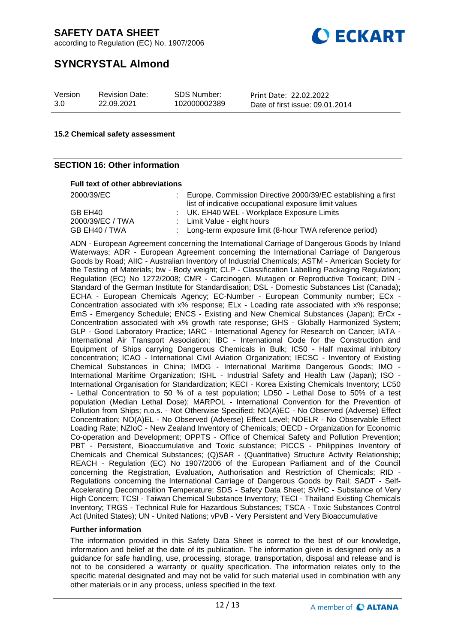according to Regulation (EC) No. 1907/2006



# **SYNCRYSTAL Almond**

| Version | <b>Revision Date:</b> | SDS Number:  | Print Date: 22.02.2022          |
|---------|-----------------------|--------------|---------------------------------|
| 3.0     | 22.09.2021            | 102000002389 | Date of first issue: 09.01.2014 |

#### **15.2 Chemical safety assessment**

#### **SECTION 16: Other information**

#### **Full text of other abbreviations**

| 2000/39/EC       | : Europe. Commission Directive 2000/39/EC establishing a first<br>list of indicative occupational exposure limit values |
|------------------|-------------------------------------------------------------------------------------------------------------------------|
| GB EH40          | : UK. EH40 WEL - Workplace Exposure Limits                                                                              |
| 2000/39/EC / TWA | : Limit Value - eight hours                                                                                             |
| GB EH40 / TWA    | : Long-term exposure limit (8-hour TWA reference period)                                                                |

ADN - European Agreement concerning the International Carriage of Dangerous Goods by Inland Waterways; ADR - European Agreement concerning the International Carriage of Dangerous Goods by Road; AIIC - Australian Inventory of Industrial Chemicals; ASTM - American Society for the Testing of Materials; bw - Body weight; CLP - Classification Labelling Packaging Regulation; Regulation (EC) No 1272/2008; CMR - Carcinogen, Mutagen or Reproductive Toxicant; DIN - Standard of the German Institute for Standardisation; DSL - Domestic Substances List (Canada); ECHA - European Chemicals Agency; EC-Number - European Community number; ECx - Concentration associated with x% response; ELx - Loading rate associated with x% response; EmS - Emergency Schedule; ENCS - Existing and New Chemical Substances (Japan); ErCx - Concentration associated with x% growth rate response; GHS - Globally Harmonized System; GLP - Good Laboratory Practice; IARC - International Agency for Research on Cancer; IATA - International Air Transport Association; IBC - International Code for the Construction and Equipment of Ships carrying Dangerous Chemicals in Bulk; IC50 - Half maximal inhibitory concentration; ICAO - International Civil Aviation Organization; IECSC - Inventory of Existing Chemical Substances in China; IMDG - International Maritime Dangerous Goods; IMO - International Maritime Organization; ISHL - Industrial Safety and Health Law (Japan); ISO - International Organisation for Standardization; KECI - Korea Existing Chemicals Inventory; LC50 - Lethal Concentration to 50 % of a test population; LD50 - Lethal Dose to 50% of a test population (Median Lethal Dose); MARPOL - International Convention for the Prevention of Pollution from Ships; n.o.s. - Not Otherwise Specified; NO(A)EC - No Observed (Adverse) Effect Concentration; NO(A)EL - No Observed (Adverse) Effect Level; NOELR - No Observable Effect Loading Rate; NZIoC - New Zealand Inventory of Chemicals; OECD - Organization for Economic Co-operation and Development; OPPTS - Office of Chemical Safety and Pollution Prevention; PBT - Persistent, Bioaccumulative and Toxic substance; PICCS - Philippines Inventory of Chemicals and Chemical Substances; (Q)SAR - (Quantitative) Structure Activity Relationship; REACH - Regulation (EC) No 1907/2006 of the European Parliament and of the Council concerning the Registration, Evaluation, Authorisation and Restriction of Chemicals; RID - Regulations concerning the International Carriage of Dangerous Goods by Rail; SADT - Self-Accelerating Decomposition Temperature; SDS - Safety Data Sheet; SVHC - Substance of Very High Concern; TCSI - Taiwan Chemical Substance Inventory; TECI - Thailand Existing Chemicals Inventory; TRGS - Technical Rule for Hazardous Substances; TSCA - Toxic Substances Control Act (United States); UN - United Nations; vPvB - Very Persistent and Very Bioaccumulative

#### **Further information**

The information provided in this Safety Data Sheet is correct to the best of our knowledge, information and belief at the date of its publication. The information given is designed only as a guidance for safe handling, use, processing, storage, transportation, disposal and release and is not to be considered a warranty or quality specification. The information relates only to the specific material designated and may not be valid for such material used in combination with any other materials or in any process, unless specified in the text.